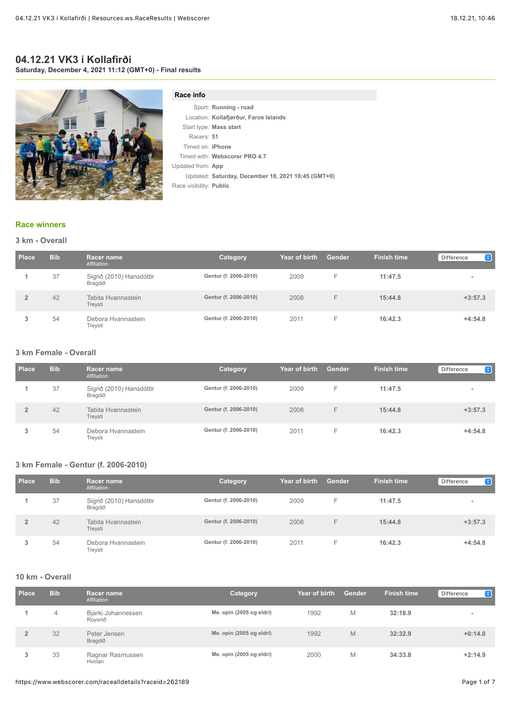## **04.12.21 VK3 í Kollafirði Saturday, December 4, 2021 11:12 (GMT+0) - Final results**

#### **Race info**

|                         | Sport: Running - road                              |
|-------------------------|----------------------------------------------------|
|                         | Location: Kollafjørður, Faroe Islands              |
|                         | Start type: Mass start                             |
| Racers: 51              |                                                    |
| Timed on: <b>iPhone</b> |                                                    |
|                         | Timed with: Webscorer PRO 4.7                      |
| Updated from: App       |                                                    |
|                         | Updated: Saturday, December 18, 2021 10:45 (GMT+0) |
| Race visibility: Public |                                                    |

#### **[Race winners](https://www.webscorer.com/race?raceid=262189)**

## **3 km - Overall**

| <b>Place</b> | <b>Bib</b> | <b>Racer name</b><br>Affiliation    | Category              | Year of birth | <b>Gender</b> | <b>Finish time</b> | Θ<br>Difference |
|--------------|------------|-------------------------------------|-----------------------|---------------|---------------|--------------------|-----------------|
|              | 37         | Sigrið (2010) Hansdóttir<br>Bragdið | Gentur (f. 2006-2010) | 2009          | F             | 11:47.5            | $\sim$          |
|              | 42         | Tabita Hvannastein<br>Treysti       | Gentur (f. 2006-2010) | 2008          | F             | 15:44.8            | $+3:57.3$       |
|              | 54         | Debora Hyannastein<br>Trevsti       | Gentur (f. 2006-2010) | 2011          | ⊢.            | 16:42.3            | $+4:54.8$       |

## **3 km Female - Overall**

| Place | <b>Bib</b> | <b>Racer name</b><br>Affiliation    | Category              | Year of birth | Gender | <b>Finish time</b> | le l'<br>Difference |
|-------|------------|-------------------------------------|-----------------------|---------------|--------|--------------------|---------------------|
|       | 37         | Sigrið (2010) Hansdóttir<br>Bragdið | Gentur (f. 2006-2010) | 2009          |        | 11:47.5            |                     |
|       | 42         | Tabita Hvannastein<br>Treysti       | Gentur (f. 2006-2010) | 2008          |        | 15:44.8            | $+3:57.3$           |
|       | 54         | Debora Hvannastein<br>Trevsti       | Gentur (f. 2006-2010) | 2011          |        | 16:42.3            | $+4:54.8$           |

#### **3 km Female - Gentur (f. 2006-2010)**

| Place | <b>Bib</b> | <b>Racer name</b><br>Affiliation    | Category              | Year of birth | <b>Gender</b> | <b>Finish time</b> | $\bullet$<br>Difference |
|-------|------------|-------------------------------------|-----------------------|---------------|---------------|--------------------|-------------------------|
|       | 37         | Sigrið (2010) Hansdóttir<br>Bragdið | Gentur (f. 2006-2010) | 2009          | ⊢             | 11:47.5            |                         |
|       | 42         | Tabita Hvannastein<br>Treysti       | Gentur (f. 2006-2010) | 2008          | L.            | 15:44.8            | $+3:57.3$               |
|       | 54         | Debora Hyannastein<br>Treysti       | Gentur (f. 2006-2010) | 2011          | ⊢             | 16:42.3            | $+4:54.8$               |

#### **10 km - Overall**

| Place | <b>Bib</b> | Racer name<br>Affiliation     | Category                 | Year of birth | <b>Gender</b> | <b>Finish time</b> | $\bullet$<br>Difference |
|-------|------------|-------------------------------|--------------------------|---------------|---------------|--------------------|-------------------------|
|       | 4          | Bjarki Johannessen<br>Roysnið | Me. opin (2005 og eldri) | 1992          | M             | 32:18.9            |                         |
|       | 32         | Peter Jensen<br>Bragdið       | Me. opin (2005 og eldri) | 1992          | M             | 32:32.9            | $+0:14.0$               |
|       | 33         | Ragnar Rasmussen<br>Hvirlan   | Me. opin (2005 og eldri) | 2000          | M             | 34:33.8            | $+2:14.9$               |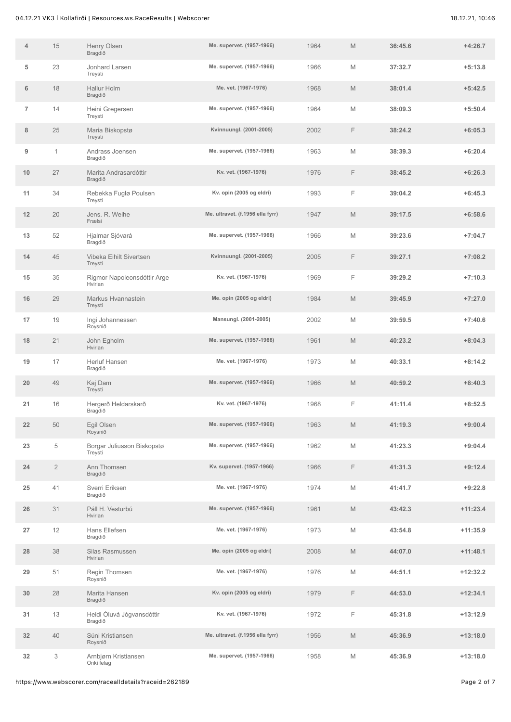| 4               | 15           | Henry Olsen<br>Bragdið                 | Me. supervet. (1957-1966)        | 1964 | M           | 36:45.6 | $+4:26.7$  |
|-----------------|--------------|----------------------------------------|----------------------------------|------|-------------|---------|------------|
| 5               | 23           | Jonhard Larsen<br>Treysti              | Me. supervet. (1957-1966)        | 1966 | M           | 37:32.7 | $+5:13.8$  |
| 6               | 18           | Hallur Holm<br>Bragdið                 | Me. vet. (1967-1976)             | 1968 | M           | 38:01.4 | $+5:42.5$  |
| $\overline{7}$  | 14           | Heini Gregersen<br>Treysti             | Me. supervet. (1957-1966)        | 1964 | M           | 38:09.3 | $+5:50.4$  |
| 8               | 25           | Maria Biskopstø<br>Treysti             | Kvinnuungl. (2001-2005)          | 2002 | F           | 38:24.2 | $+6:05.3$  |
| 9               | $\mathbf{1}$ | Andrass Joensen<br>Bragdið             | Me. supervet. (1957-1966)        | 1963 | M           | 38:39.3 | $+6:20.4$  |
| 10              | 27           | Marita Andrasardóttir<br>Bragdið       | Kv. vet. (1967-1976)             | 1976 | F           | 38:45.2 | $+6:26.3$  |
| 11              | 34           | Rebekka Fuglø Poulsen<br>Treysti       | Kv. opin (2005 og eldri)         | 1993 | F           | 39:04.2 | $+6:45.3$  |
| 12              | 20           | Jens. R. Weihe<br>Frælsi               | Me. ultravet. (f.1956 ella fyrr) | 1947 | M           | 39:17.5 | $+6:58.6$  |
| 13              | 52           | Hjalmar Sjóvará<br>Bragdið             | Me. supervet. (1957-1966)        | 1966 | M           | 39:23.6 | $+7:04.7$  |
| 14              | 45           | Vibeka Eihilt Sivertsen<br>Treysti     | Kvinnuungl. (2001-2005)          | 2005 | F           | 39:27.1 | $+7:08.2$  |
| 15              | 35           | Rigmor Napoleonsdóttir Arge<br>Hvirlan | Kv. vet. (1967-1976)             | 1969 | F           | 39:29.2 | $+7:10.3$  |
| 16              | 29           | Markus Hvannastein<br>Treysti          | Me. opin (2005 og eldri)         | 1984 | M           | 39:45.9 | $+7:27.0$  |
| 17              | 19           | Ingi Johannessen<br>Roysnið            | Mansungl. (2001-2005)            | 2002 | M           | 39:59.5 | $+7:40.6$  |
| 18              | 21           | John Egholm<br>Hvirlan                 | Me. supervet. (1957-1966)        | 1961 | M           | 40:23.2 | $+8:04.3$  |
| 19              | 17           | Herluf Hansen<br>Bragdið               | Me. vet. (1967-1976)             | 1973 | M           | 40:33.1 | $+8:14.2$  |
| 20              | 49           | Kaj Dam<br>Treysti                     | Me. supervet. (1957-1966)        | 1966 | M           | 40:59.2 | $+8:40.3$  |
| 21              | 16           | Hergerð Heldarskarð<br>Bragdið         | Kv. vet. (1967-1976)             | 1968 | F           | 41:11.4 | $+8:52.5$  |
| 22              | 50           | Egil Olsen<br>Roysnið                  | Me. supervet. (1957-1966)        | 1963 | M           | 41:19.3 | $+9:00.4$  |
| 23              | 5            | Borgar Juliusson Biskopstø<br>Treysti  | Me. supervet. (1957-1966)        | 1962 | M           | 41:23.3 | $+9:04.4$  |
| 24              | $\sqrt{2}$   | Ann Thomsen<br>Bragdið                 | Kv. supervet. (1957-1966)        | 1966 | F           | 41:31.3 | $+9:12.4$  |
| 25              | 41           | Sverri Eriksen<br>Bragdið              | Me. vet. (1967-1976)             | 1974 | M           | 41:41.7 | $+9:22.8$  |
| 26              | 31           | Páll H. Vesturbú<br>Hvirlan            | Me. supervet. (1957-1966)        | 1961 | $\mathbb M$ | 43:42.3 | $+11:23.4$ |
| 27              | 12           | Hans Ellefsen<br>Bragdið               | Me. vet. (1967-1976)             | 1973 | M           | 43:54.8 | $+11:35.9$ |
| 28              | 38           | Silas Rasmussen<br>Hvirlan             | Me. opin (2005 og eldri)         | 2008 | $\mathbb M$ | 44:07.0 | $+11:48.1$ |
| 29              | 51           | Regin Thomsen<br>Roysnið               | Me. vet. (1967-1976)             | 1976 | $\mathbb M$ | 44:51.1 | $+12:32.2$ |
| 30              | 28           | Marita Hansen<br>Bragdið               | Kv. opin (2005 og eldri)         | 1979 | F           | 44:53.0 | $+12:34.1$ |
| 31              | 13           | Heidi Óluvá Jógvansdóttir<br>Bragdið   | Kv. vet. (1967-1976)             | 1972 | F           | 45:31.8 | $+13:12.9$ |
| 32 <sub>2</sub> | 40           | Súni Kristiansen<br>Roysnið            | Me. ultravet. (f.1956 ella fyrr) | 1956 | $\mathbb M$ | 45:36.9 | $+13:18.0$ |
| 32              | 3            | Arnbjørn Kristiansen<br>Onki felag     | Me. supervet. (1957-1966)        | 1958 | M           | 45:36.9 | $+13:18.0$ |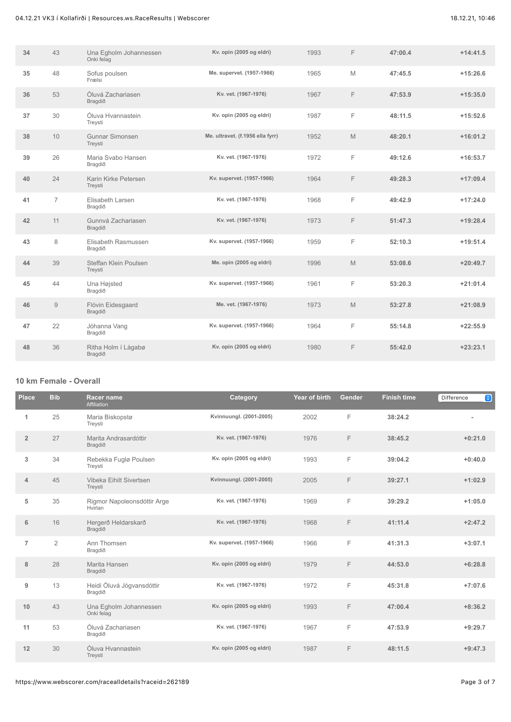| 34 | 43             | Una Egholm Johannessen<br>Onki felag | Kv. opin (2005 og eldri)         | 1993 | F | 47:00.4 | $+14:41.5$ |
|----|----------------|--------------------------------------|----------------------------------|------|---|---------|------------|
| 35 | 48             | Sofus poulsen<br>Frælsi              | Me. supervet. (1957-1966)        | 1965 | M | 47:45.5 | $+15:26.6$ |
| 36 | 53             | Óluvá Zachariasen<br>Bragdið         | Kv. vet. (1967-1976)             | 1967 | F | 47:53.9 | $+15:35.0$ |
| 37 | 30             | Óluva Hvannastein<br>Treysti         | Kv. opin (2005 og eldri)         | 1987 | F | 48:11.5 | $+15:52.6$ |
| 38 | 10             | <b>Gunnar Simonsen</b><br>Treysti    | Me. ultravet. (f.1956 ella fyrr) | 1952 | M | 48:20.1 | $+16:01.2$ |
| 39 | 26             | Maria Svabo Hansen<br>Bragdið        | Kv. vet. (1967-1976)             | 1972 | F | 49:12.6 | $+16:53.7$ |
| 40 | 24             | Karin Kirke Petersen<br>Treysti      | Kv. supervet. (1957-1966)        | 1964 | F | 49:28.3 | $+17:09.4$ |
| 41 | $\overline{7}$ | Elisabeth Larsen<br>Bragdið          | Kv. vet. (1967-1976)             | 1968 | F | 49:42.9 | $+17:24.0$ |
| 42 | 11             | Gunnyá Zachariasen<br>Bragdið        | Kv. vet. (1967-1976)             | 1973 | F | 51:47.3 | $+19:28.4$ |
| 43 | 8              | Elisabeth Rasmussen<br>Bragdið       | Kv. supervet. (1957-1966)        | 1959 | F | 52:10.3 | $+19:51.4$ |
| 44 | 39             | Steffan Klein Poulsen<br>Treysti     | Me. opin (2005 og eldri)         | 1996 | M | 53:08.6 | $+20:49.7$ |
| 45 | 44             | Una Højsted<br>Bragdið               | Kv. supervet. (1957-1966)        | 1961 | F | 53:20.3 | $+21:01.4$ |
| 46 | $\mathsf{9}$   | Flóvin Eidesgaard<br>Bragdið         | Me. vet. (1967-1976)             | 1973 | M | 53:27.8 | $+21:08.9$ |
| 47 | 22             | Jóhanna Vang<br>Bragdið              | Kv. supervet. (1957-1966)        | 1964 | F | 55:14.8 | $+22:55.9$ |
| 48 | 36             | Ritha Holm í Lágabø<br>Bragdið       | Kv. opin (2005 og eldri)         | 1980 | F | 55:42.0 | $+23:23.1$ |

#### **10 km Female - Overall**

| <b>Place</b>   | <b>Bib</b>     | Racer name<br>Affiliation              | Category                  | Year of birth | <b>Gender</b> | <b>Finish time</b> | $\bullet$<br>Difference |
|----------------|----------------|----------------------------------------|---------------------------|---------------|---------------|--------------------|-------------------------|
| 1              | 25             | Maria Biskopstø<br>Treysti             | Kvinnuungl. (2001-2005)   | 2002          | F             | 38:24.2            |                         |
| $\overline{2}$ | 27             | Marita Andrasardóttir<br>Bragdið       | Kv. vet. (1967-1976)      | 1976          | F             | 38:45.2            | $+0:21.0$               |
| $\mathbf{3}$   | 34             | Rebekka Fuglø Poulsen<br>Treysti       | Kv. opin (2005 og eldri)  | 1993          | F             | 39:04.2            | $+0:40.0$               |
| $\overline{4}$ | 45             | Vibeka Eihilt Sivertsen<br>Treysti     | Kvinnuungl. (2001-2005)   | 2005          | F             | 39:27.1            | $+1:02.9$               |
| 5              | 35             | Rigmor Napoleonsdóttir Arge<br>Hvirlan | Kv. vet. (1967-1976)      | 1969          | F             | 39:29.2            | $+1:05.0$               |
| 6              | 16             | Hergerð Heldarskarð<br>Bragdið         | Kv. vet. (1967-1976)      | 1968          | F             | 41:11.4            | $+2:47.2$               |
| $\overline{7}$ | $\overline{2}$ | Ann Thomsen<br>Bragdið                 | Kv. supervet. (1957-1966) | 1966          | F             | 41:31.3            | $+3:07.1$               |
| 8              | 28             | Marita Hansen<br>Bragdið               | Kv. opin (2005 og eldri)  | 1979          | F             | 44:53.0            | $+6:28.8$               |
| 9              | 13             | Heidi Óluvá Jógvansdóttir<br>Bragdið   | Kv. vet. (1967-1976)      | 1972          | F             | 45:31.8            | $+7:07.6$               |
| 10             | 43             | Una Egholm Johannessen<br>Onki felag   | Kv. opin (2005 og eldri)  | 1993          | F             | 47:00.4            | $+8:36.2$               |
| 11             | 53             | Óluvá Zachariasen<br>Bragdið           | Kv. vet. (1967-1976)      | 1967          | F             | 47:53.9            | $+9:29.7$               |
| 12             | 30             | Óluva Hyannastein<br>Treysti           | Kv. opin (2005 og eldri)  | 1987          | F             | 48:11.5            | $+9:47.3$               |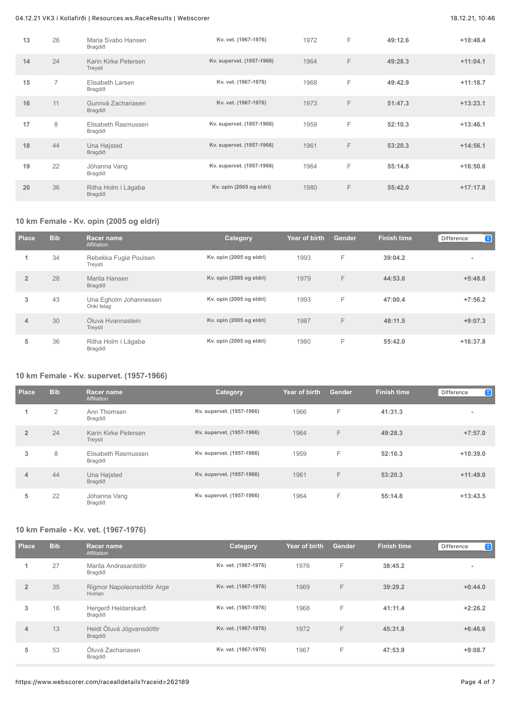| 13 | 26             | Maria Svabo Hansen<br>Bragdið   | Kv. vet. (1967-1976)      | 1972 | F | 49:12.6 | $+10:48.4$ |
|----|----------------|---------------------------------|---------------------------|------|---|---------|------------|
| 14 | 24             | Karin Kirke Petersen<br>Treysti | Kv. supervet. (1957-1966) | 1964 | F | 49:28.3 | $+11:04.1$ |
| 15 | $\overline{7}$ | Elisabeth Larsen<br>Bragdið     | Kv. vet. (1967-1976)      | 1968 | F | 49:42.9 | $+11:18.7$ |
| 16 | 11             | Gunnvá Zachariasen<br>Bragdið   | Kv. vet. (1967-1976)      | 1973 | F | 51:47.3 | $+13:23.1$ |
| 17 | 8              | Elisabeth Rasmussen<br>Bragdið  | Kv. supervet. (1957-1966) | 1959 | F | 52:10.3 | $+13:46.1$ |
| 18 | 44             | Una Højsted<br>Bragdið          | Kv. supervet. (1957-1966) | 1961 | F | 53:20.3 | $+14:56.1$ |
| 19 | 22             | Jóhanna Vang<br>Bragdið         | Kv. supervet. (1957-1966) | 1964 | F | 55:14.8 | $+16:50.6$ |
| 20 | 36             | Ritha Holm í Lágabø<br>Bragdið  | Kv. opin (2005 og eldri)  | 1980 | F | 55:42.0 | $+17:17.8$ |

## **10 km Female - Kv. opin (2005 og eldri)**

| Place          | <b>Bib</b> | Racer name<br>Affiliation            | <b>Category</b>          | Year of birth | Gender <sup>1</sup> | <b>Finish time</b> | $\bullet$<br>Difference |
|----------------|------------|--------------------------------------|--------------------------|---------------|---------------------|--------------------|-------------------------|
|                | 34         | Rebekka Fuglø Poulsen<br>Treysti     | Kv. opin (2005 og eldri) | 1993          | F                   | 39:04.2            | $\blacksquare$          |
| $\overline{2}$ | 28         | Marita Hansen<br>Bragdið             | Kv. opin (2005 og eldri) | 1979          | F                   | 44:53.0            | $+5:48.8$               |
| 3              | 43         | Una Egholm Johannessen<br>Onki felag | Kv. opin (2005 og eldri) | 1993          | F                   | 47:00.4            | $+7:56.2$               |
| 4              | 30         | Óluva Hyannastein<br>Treysti         | Kv. opin (2005 og eldri) | 1987          | F                   | 48:11.5            | $+9:07.3$               |
| 5              | 36         | Ritha Holm í Lágabø<br>Bragdið       | Kv. opin (2005 og eldri) | 1980          | F                   | 55:42.0            | $+16:37.8$              |

#### **10 km Female - Kv. supervet. (1957-1966)**

| Place          | <b>Bib</b> | Racer name<br>Affiliation       | <b>Category</b>           | Year of birth | Gender | <b>Finish time</b> | $\bullet$<br>Difference  |
|----------------|------------|---------------------------------|---------------------------|---------------|--------|--------------------|--------------------------|
|                | 2          | Ann Thomsen<br>Bragdið          | Kv. supervet. (1957-1966) | 1966          | F      | 41:31.3            | $\overline{\phantom{a}}$ |
| $\overline{2}$ | 24         | Karin Kirke Petersen<br>Treysti | Kv. supervet. (1957-1966) | 1964          | F      | 49:28.3            | $+7:57.0$                |
| 3              | 8          | Elisabeth Rasmussen<br>Bragdið  | Kv. supervet. (1957-1966) | 1959          | F      | 52:10.3            | $+10:39.0$               |
| 4              | 44         | Una Højsted<br>Bragdið          | Kv. supervet. (1957-1966) | 1961          | F      | 53:20.3            | $+11:49.0$               |
| 5              | 22         | Jóhanna Vang<br>Bragdið         | Kv. supervet. (1957-1966) | 1964          | F      | 55:14.8            | $+13:43.5$               |

#### **10 km Female - Kv. vet. (1967-1976)**

| <b>Place</b>   | <b>Bib</b> | Racer name<br>Affiliation              | Category             | Year of birth | <b>Gender</b> | <b>Finish time</b> | Θ<br>Difference          |
|----------------|------------|----------------------------------------|----------------------|---------------|---------------|--------------------|--------------------------|
|                | 27         | Marita Andrasardóttir<br>Bragdið       | Kv. vet. (1967-1976) | 1976          | F             | 38:45.2            | $\overline{\phantom{a}}$ |
| $\overline{2}$ | 35         | Rigmor Napoleonsdóttir Arge<br>Hvirlan | Kv. vet. (1967-1976) | 1969          | F             | 39:29.2            | $+0:44.0$                |
| 3              | 16         | Hergerð Heldarskarð<br>Bragdið         | Kv. vet. (1967-1976) | 1968          | F             | 41:11.4            | $+2:26.2$                |
| 4              | 13         | Heidi Óluvá Jógvansdóttir<br>Bragdið   | Kv. vet. (1967-1976) | 1972          | F             | 45:31.8            | $+6:46.6$                |
| 5              | 53         | Óluvá Zachariasen<br>Bragdið           | Kv. vet. (1967-1976) | 1967          | F             | 47:53.9            | $+9:08.7$                |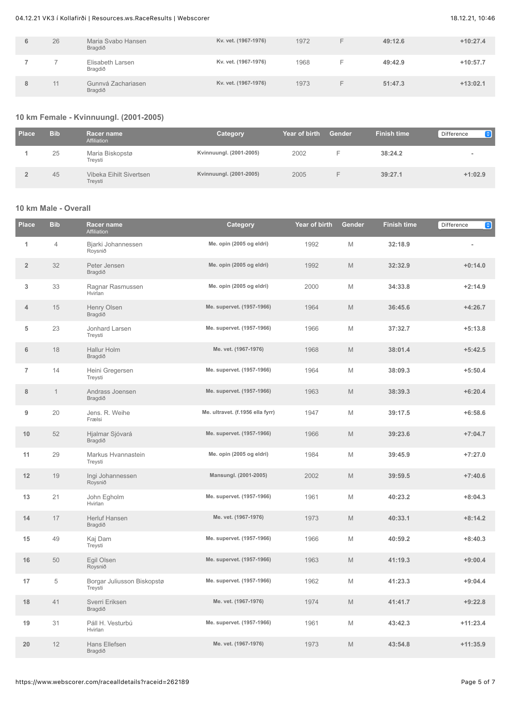| 26 | Maria Svabo Hansen<br>Bragdið | Kv. vet. (1967-1976) | 1972 | 49:12.6 | $+10:27.4$ |
|----|-------------------------------|----------------------|------|---------|------------|
|    | Elisabeth Larsen<br>Bragdið   | Kv. vet. (1967-1976) | 1968 | 49:42.9 | $+10:57.7$ |
| 11 | Gunnyá Zachariasen<br>Bragdið | Kv. vet. (1967-1976) | 1973 | 51:47.3 | $+13:02.1$ |

# **10 km Female - Kvinnuungl. (2001-2005)**

| Place | <b>Bib</b> | Racer name<br>Affiliation          | Category                | Year of birth | Gender | <b>Finish time</b> | Θ<br>Difference |
|-------|------------|------------------------------------|-------------------------|---------------|--------|--------------------|-----------------|
|       | 25         | Maria Biskopstø<br>Treysti         | Kvinnuungl. (2001-2005) | 2002          |        | 38:24.2            |                 |
|       | 45         | Vibeka Eihilt Sivertsen<br>Treysti | Kvinnuungl. (2001-2005) | 2005          |        | 39:27.1            | $+1:02.9$       |

#### **10 km Male - Overall**

| <b>Place</b>   | <b>Bib</b>   | Racer name<br>Affiliation             | Category                         | Year of birth | <b>Gender</b> | <b>Finish time</b> | $\bullet$<br>Difference |
|----------------|--------------|---------------------------------------|----------------------------------|---------------|---------------|--------------------|-------------------------|
| 1              | 4            | Bjarki Johannessen<br>Roysnið         | Me. opin (2005 og eldri)         | 1992          | M             | 32:18.9            |                         |
| $\overline{2}$ | 32           | Peter Jensen<br>Bragdið               | Me. opin (2005 og eldri)         | 1992          | M             | 32:32.9            | $+0:14.0$               |
| 3              | 33           | Ragnar Rasmussen<br>Hvirlan           | Me. opin (2005 og eldri)         | 2000          | M             | 34:33.8            | $+2:14.9$               |
| 4              | 15           | Henry Olsen<br>Bragdið                | Me. supervet. (1957-1966)        | 1964          | M             | 36:45.6            | $+4:26.7$               |
| 5              | 23           | Jonhard Larsen<br>Treysti             | Me. supervet. (1957-1966)        | 1966          | M             | 37:32.7            | $+5:13.8$               |
| 6              | 18           | Hallur Holm<br>Bragdið                | Me. vet. (1967-1976)             | 1968          | M             | 38:01.4            | $+5:42.5$               |
| $\overline{7}$ | 14           | Heini Gregersen<br>Treysti            | Me. supervet. (1957-1966)        | 1964          | M             | 38:09.3            | $+5:50.4$               |
| 8              | $\mathbf{1}$ | Andrass Joensen<br>Bragdið            | Me. supervet. (1957-1966)        | 1963          | M             | 38:39.3            | $+6:20.4$               |
| 9              | 20           | Jens. R. Weihe<br>Frælsi              | Me. ultravet. (f.1956 ella fyrr) | 1947          | M             | 39:17.5            | $+6:58.6$               |
| 10             | 52           | Hjalmar Sjóvará<br>Bragdið            | Me. supervet. (1957-1966)        | 1966          | M             | 39:23.6            | $+7:04.7$               |
| 11             | 29           | Markus Hvannastein<br>Treysti         | Me. opin (2005 og eldri)         | 1984          | M             | 39:45.9            | $+7:27.0$               |
| 12             | 19           | Ingi Johannessen<br>Roysnið           | Mansungl. (2001-2005)            | 2002          | M             | 39:59.5            | $+7:40.6$               |
| 13             | 21           | John Egholm<br>Hvirlan                | Me. supervet. (1957-1966)        | 1961          | M             | 40:23.2            | $+8:04.3$               |
| 14             | 17           | Herluf Hansen<br>Bragdið              | Me. vet. (1967-1976)             | 1973          | M             | 40:33.1            | $+8:14.2$               |
| 15             | 49           | Kaj Dam<br>Treysti                    | Me. supervet. (1957-1966)        | 1966          | M             | 40:59.2            | $+8:40.3$               |
| 16             | 50           | Egil Olsen<br>Roysnið                 | Me. supervet. (1957-1966)        | 1963          | M             | 41:19.3            | $+9:00.4$               |
| 17             | 5            | Borgar Juliusson Biskopstø<br>Treysti | Me. supervet. (1957-1966)        | 1962          | M             | 41:23.3            | $+9:04.4$               |
| 18             | 41           | Sverri Eriksen<br>Bragdið             | Me. vet. (1967-1976)             | 1974          | M             | 41:41.7            | $+9:22.8$               |
| 19             | 31           | Páll H. Vesturbú<br>Hvirlan           | Me. supervet. (1957-1966)        | 1961          | M             | 43:42.3            | $+11:23.4$              |
| 20             | 12           | Hans Ellefsen<br>Bragdið              | Me. vet. (1967-1976)             | 1973          | M             | 43:54.8            | $+11:35.9$              |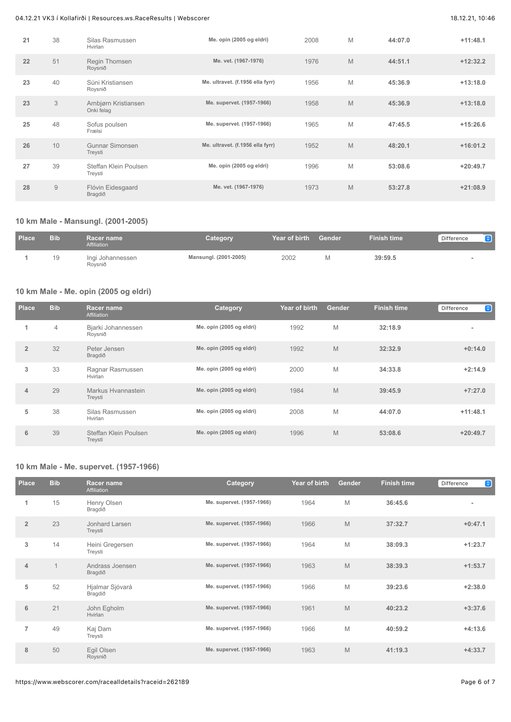| 21 | 38           | Silas Rasmussen<br>Hvirlan         | Me. opin (2005 og eldri)         | 2008 | M | 44:07.0 | $+11:48.1$ |
|----|--------------|------------------------------------|----------------------------------|------|---|---------|------------|
| 22 | 51           | Regin Thomsen<br>Roysnið           | Me. vet. (1967-1976)             | 1976 | M | 44:51.1 | $+12:32.2$ |
| 23 | 40           | Súni Kristiansen<br>Roysnið        | Me. ultravet. (f.1956 ella fyrr) | 1956 | M | 45:36.9 | $+13:18.0$ |
| 23 | 3            | Arnbjørn Kristiansen<br>Onki felag | Me. supervet. (1957-1966)        | 1958 | M | 45:36.9 | $+13:18.0$ |
| 25 | 48           | Sofus poulsen<br>Frælsi            | Me. supervet. (1957-1966)        | 1965 | M | 47:45.5 | $+15:26.6$ |
| 26 | 10           | Gunnar Simonsen<br>Treysti         | Me. ultravet. (f.1956 ella fyrr) | 1952 | M | 48:20.1 | $+16:01.2$ |
| 27 | 39           | Steffan Klein Poulsen<br>Treysti   | Me. opin (2005 og eldri)         | 1996 | M | 53:08.6 | $+20:49.7$ |
| 28 | $\mathsf{9}$ | Flóvin Eidesgaard<br>Bragdið       | Me. vet. (1967-1976)             | 1973 | M | 53:27.8 | $+21:08.9$ |

## **10 km Male - Mansungl. (2001-2005)**

| <b>Place</b> | <b>Bib</b> | Racer name<br>Affiliation   | Category              | Year of birth | Gender | <b>Finish time</b> | Difference |
|--------------|------------|-----------------------------|-----------------------|---------------|--------|--------------------|------------|
|              | 19         | Ingi Johannessen<br>Roysnið | Mansungl. (2001-2005) | 2002          |        | 39:59.5            |            |

## **10 km Male - Me. opin (2005 og eldri)**

| <b>Place</b>   | <b>Bib</b>     | Racer name<br>Affiliation        | Category                 | Year of birth | Gender | <b>Finish time</b> | $\bullet$<br>Difference  |
|----------------|----------------|----------------------------------|--------------------------|---------------|--------|--------------------|--------------------------|
|                | $\overline{4}$ | Bjarki Johannessen<br>Roysnið    | Me. opin (2005 og eldri) | 1992          | M      | 32:18.9            | $\overline{\phantom{a}}$ |
| $\overline{2}$ | 32             | Peter Jensen<br>Bragdið          | Me. opin (2005 og eldri) | 1992          | M      | 32:32.9            | $+0:14.0$                |
| 3              | 33             | Ragnar Rasmussen<br>Hvirlan      | Me. opin (2005 og eldri) | 2000          | M      | 34:33.8            | $+2:14.9$                |
| 4              | 29             | Markus Hvannastein<br>Treysti    | Me. opin (2005 og eldri) | 1984          | M      | 39:45.9            | $+7:27.0$                |
| 5              | 38             | Silas Rasmussen<br>Hvirlan       | Me. opin (2005 og eldri) | 2008          | M      | 44:07.0            | $+11:48.1$               |
| 6              | 39             | Steffan Klein Poulsen<br>Treysti | Me. opin (2005 og eldri) | 1996          | M      | 53:08.6            | $+20:49.7$               |

#### **10 km Male - Me. supervet. (1957-1966)**

| Place          | <b>Bib</b>     | Racer name<br>Affiliation  | Category                  | Year of birth | <b>Gender</b> | <b>Finish time</b> | $\bullet$<br>Difference  |
|----------------|----------------|----------------------------|---------------------------|---------------|---------------|--------------------|--------------------------|
| 1              | 15             | Henry Olsen<br>Bragdið     | Me. supervet. (1957-1966) | 1964          | M             | 36:45.6            | $\overline{\phantom{a}}$ |
| $\overline{2}$ | 23             | Jonhard Larsen<br>Treysti  | Me. supervet. (1957-1966) | 1966          | M             | 37:32.7            | $+0:47.1$                |
| 3              | 14             | Heini Gregersen<br>Treysti | Me. supervet. (1957-1966) | 1964          | M             | 38:09.3            | $+1:23.7$                |
| $\overline{4}$ | $\overline{A}$ | Andrass Joensen<br>Bragdið | Me. supervet. (1957-1966) | 1963          | M             | 38:39.3            | $+1:53.7$                |
| 5              | 52             | Hjalmar Sjóvará<br>Bragdið | Me. supervet. (1957-1966) | 1966          | M             | 39:23.6            | $+2:38.0$                |
| 6              | 21             | John Egholm<br>Hvirlan     | Me. supervet. (1957-1966) | 1961          | M             | 40:23.2            | $+3:37.6$                |
| 7              | 49             | Kaj Dam<br>Treysti         | Me. supervet. (1957-1966) | 1966          | M             | 40:59.2            | $+4:13.6$                |
| 8              | 50             | Eqil Olsen<br>Roysnið      | Me. supervet. (1957-1966) | 1963          | M             | 41:19.3            | $+4:33.7$                |